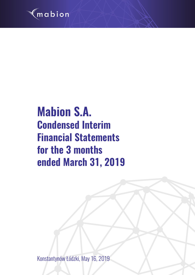

# **Mabion S.A. Condensed Interim Financial Statements for the 3 months ended March 31, 2019**

Konstantynów Łódzki, May 16, 2019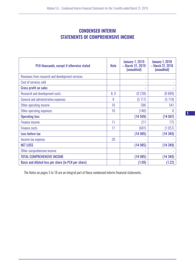# CONDENSED INTERIM STATEMENTS OF COMPREHENSIVE INCOME

| PLN thousands, except if otherwise stated           | <b>Note</b> | <b>January 1, 2019</b><br>- March 31, 2019<br>(unaudited) | <b>January 1, 2018</b><br>- March 31, 2018<br>(unaudited) |
|-----------------------------------------------------|-------------|-----------------------------------------------------------|-----------------------------------------------------------|
| Revenues from research and development services     |             |                                                           |                                                           |
| Cost of services sold                               |             | $\overline{\phantom{0}}$                                  |                                                           |
| <b>Gross profit on sales</b>                        |             | ۰                                                         |                                                           |
| <b>Research and development costs</b>               | 8,9         | (9 238)                                                   | (8889)                                                    |
| General and administrative expenses                 | 8           | (5717)                                                    | (5719)                                                    |
| Other operating income                              | 10          | 586                                                       | 541                                                       |
| Other operating expenses                            | 10          | (140)                                                     | 0                                                         |
| <b>Operating loss</b>                               |             | (14509)                                                   | (14067)                                                   |
| <b>Finance income</b>                               | 11          | 211                                                       | 775                                                       |
| <b>Finance costs</b>                                | 11          | (687)                                                     | (1057)                                                    |
| Loss before tax                                     |             | (14985)                                                   | (14349)                                                   |
| Income tax expense                                  | 20          |                                                           |                                                           |
| <b>NET LOSS</b>                                     |             | (14985)                                                   | (14349)                                                   |
| Other comprehensive income                          |             |                                                           |                                                           |
| <b>TOTAL COMPREHENSIVE INCOME</b>                   |             | (14985)                                                   | (14349)                                                   |
| Basic and diluted loss per share (in PLN per share) |             | (1.09)                                                    | (1.22)                                                    |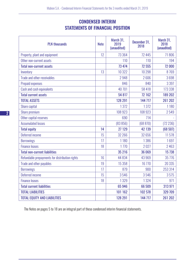# CONDENSED INTERIM STATEMENTS OF FINANCIAL POSITION

| <b>PLN</b> thousands                           | <b>Note</b> | March 31,<br>2019<br>(unaudited) | December 31,<br>2018 | March 31,<br>2018<br>(unaudited) |
|------------------------------------------------|-------------|----------------------------------|----------------------|----------------------------------|
| Property, plant and equipment                  | 12          | 73 364                           | 72 445               | 71806                            |
| Other non-current assets                       |             | 110                              | 110                  | 194                              |
| <b>Total non-current assets</b>                |             | 73 474                           | 72 555               | 72 000                           |
| Inventory                                      | 13          | 10 322                           | 10 298               | 8769                             |
| Trade and other receivables                    |             | 2948                             | 2606                 | 3698                             |
| <b>Prepaid expenses</b>                        |             | 846                              | 840                  | 3 3 9 7                          |
| Cash and cash equivalents                      |             | 40 701                           | 58 418               | 173 338                          |
| <b>Total current assets</b>                    |             | 54 817                           | 72 162               | 189 202                          |
| <b>TOTAL ASSETS</b>                            |             | 128 291                          | 144 717              | 261 202                          |
| Share capital                                  |             | 1372                             | 1372                 | 1180                             |
| Share premium                                  |             | 108 923                          | 108 923              | 2549                             |
| Other capital reserves                         |             | 690                              | 714                  |                                  |
| <b>Accumulated losses</b>                      |             | (83 856)                         | (68 870)             | (72 236)                         |
| <b>Total equity</b>                            | 14          | 27 129                           | 42 139               | (68507)                          |
| Deferred income                                | 15          | 32 266                           | 32 656               | 11578                            |
| <b>Borrowings</b>                              | 17          | 1180                             | 1386                 | 1697                             |
| <b>Finance leases</b>                          | 18          | 1770                             | 2027                 | 2463                             |
| <b>Total non-current liabilities</b>           |             | 35 216                           | 36 069               | 15 738                           |
| Refundable prepayments for distribution rights | 16          | 44 834                           | 43 969               | 35 7 7 6                         |
| Trade and other payables                       | 19          | 15 3 58                          | 16 770               | 20 335                           |
| <b>Borrowings</b>                              | 17          | 879                              | 900                  | 253 314                          |
| Deferred income                                | 15          | 3546                             | 3546                 | 3575                             |
| <b>Finance leases</b>                          | 18          | 1329                             | 1324                 | 971                              |
| <b>Total current liabilities</b>               |             | 65 946                           | 66 509               | 313 971                          |
| <b>TOTAL LIABILITIES</b>                       |             | 101 162                          | 102 578              | 329 709                          |
| <b>TOTAL EQUITY AND LIABILITIES</b>            |             | 128 291                          | 144 717              | 261 202                          |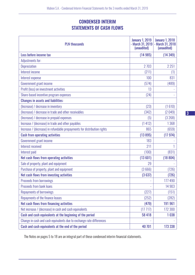# CONDENSED INTERIM STATEMENTS OF CASH FLOWS

| <b>PLN</b> thousands                                                    | <b>January 1, 2019</b><br>- March 31, 2019<br>(unaudited) | <b>January 1, 2018</b><br>- March 31, 2018<br>(unaudited) |
|-------------------------------------------------------------------------|-----------------------------------------------------------|-----------------------------------------------------------|
| Loss before income tax                                                  | (14985)                                                   | (14349)                                                   |
| Adjustments for:                                                        |                                                           |                                                           |
| <b>Depreciation</b>                                                     | 2 7 0 3                                                   | 2 2 5 1                                                   |
| Interest income                                                         | (211)                                                     | (1)                                                       |
| Interest expense                                                        | 100                                                       | 831                                                       |
| Government grant income                                                 | (574)                                                     | (489)                                                     |
| Profit (loss) on investment activities                                  | 13                                                        |                                                           |
| Share-based incentive program expenses                                  | (24)                                                      |                                                           |
| <b>Changes in assets and liabilities:</b>                               |                                                           |                                                           |
| (Increase) / decrease in inventory                                      | (23)                                                      | (1610)                                                    |
| (Increase) / decrease in trade and other receivables                    | (342)                                                     | (2049)                                                    |
| (Increase) / decrease in prepaid expenses                               | (5)                                                       | (3268)                                                    |
| Increase / (decrease) in trade and other payables                       | (1412)                                                    | 1368                                                      |
| Increase / (decrease) in refundable prepayments for distribution rights | 865                                                       | (659)                                                     |
| <b>Cash from operating activities</b>                                   | (13895)                                                   | (17974)                                                   |
| Government grant income                                                 | 183                                                       |                                                           |
| Interest received                                                       | 211                                                       |                                                           |
| Interest paid                                                           | (100)                                                     | (831)                                                     |
| Net cash flows from operating activities                                | (13601)                                                   | (18804)                                                   |
| Sale of property, plant and equipment                                   | 29                                                        |                                                           |
| Purchase of property, plant and equipment                               | (3666)                                                    | (726)                                                     |
| Net cash flows from investing activities                                | (3637)                                                    | (726)                                                     |
| <b>Proceeds from borrowings</b>                                         |                                                           | 177 490                                                   |
| <b>Proceeds from bank loans</b>                                         | ÷,                                                        | 14 903                                                    |
| <b>Repayments of borrowings</b>                                         | (227)                                                     | (151)                                                     |
| Repayments of the finance leases                                        | (252)                                                     | (282)                                                     |
| Net cash flows from financing activities                                | (479)                                                     | 191 961                                                   |
| Net increase / (decrease) in cash and cash equivalents                  | (17717)                                                   | 172 300                                                   |
| Cash and cash equivalents at the beginning of the period                | 58 418                                                    | 1038                                                      |
| Change in cash and cash equivalents due to exchange rate differences    |                                                           |                                                           |
| Cash and cash equivalents at the end of the period                      | 40 701                                                    | 173 338                                                   |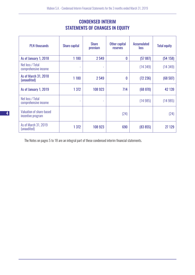# CONDENSED INTERIM STATEMENTS OF CHANGES IN EQUITY

| <b>PLN thousands</b>                          | <b>Share capital</b> | <b>Share</b><br>premium | Other capital<br><b>reserves</b> | <b>Accumulated</b><br><b>loss</b> | <b>Total equity</b> |
|-----------------------------------------------|----------------------|-------------------------|----------------------------------|-----------------------------------|---------------------|
| As of January 1, 2018                         | 1 1 8 0              | 2549                    | 0                                | (57 887)                          | (54158)             |
| Net loss / Total<br>comprehensive income      | ۰                    | ٠                       |                                  | (14349)                           | (14349)             |
| As of March 31, 2018<br>(unaudited)           | 1 1 8 0              | 2549                    | 0                                | (72 236)                          | (68507)             |
| As of January 1, 2019                         | 1 3 7 2              | 108 923                 | 714                              | (68 870)                          | 42 139              |
| Net loss / Total<br>comprehensive income      |                      | ۰                       |                                  | (14985)                           | (14985)             |
| Valuation of share-based<br>incentive program |                      |                         | (24)                             |                                   | (24)                |
| As of March 31, 2019<br>(unaudited)           | 1 3 7 2              | 108 923                 | 690                              | (83 855)                          | 27 129              |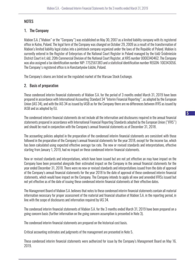# **NOTES**

# 1. The Company

Mabion S.A. ("Mabion" or the "Company") was established on May 30, 2007 as a limited liability company with its registered office in Kutno, Poland. The legal form of the Company was changed on October 29, 2009 as a result of the transformation of Mabion's limited liability legal status into a jointstock company organized under the laws of the Republic of Poland. Mabion is currently entered in the Register of Enterprises of the National Court Register in Poland managed by the Łódź-Śródmieście District Court in Ł ódź, 20th Commercial Division of the National Court Register, at KRS number 0000340462. The Company was also assigned a tax identification number NIP: 7752561383 and a statistical identification number REGON: 100343056. The Company's registered office is in Konstantynów Łódzki, Poland.

The Company's shares are listed on the regulated market of the Warsaw Stock Exchange.

# 2. Basis of preparation

These condensed interim financial statements of Mabion S.A. for the period of 3 months ended March 31, 2019 have been prepared in accordance with International Accounting Standard 34 "Interim Financial Reporting", as adopted by the European Union (IAS 34), and with the IAS 34 as issued by IASB as for the Company there are no differences between IFRS as issued by IASB and as adopted by EU.

The condensed interim financial statements do not include all the information and disclosures required in the annual financial statements prepared in accordance with International Financial Reporting Standards adopted by the European Union ("IFRS") and should be read in conjunction with the Company's annual financial statements as of December 31, 2018.

The accounting policies adopted in the preparation of the condensed interim financial statements are consistent with those followed in the preparation of the Company's annual financial statements for the year 2018, except for the income tax, which has been calculated using expected effective average tax rate. The new or revised standards and interpretations, effective starting from January 1, 2019, had no impact on these condensed interim financial statements.

New or revised standards and interpretations, which have been issued but are not yet effective an may have impact on the Company have been presented alongside their estimated impact on the Company in the annual financial statements for the year ended December 31, 2018. There were no new or revised standards and interpretations issued from the date of approval of the Company's annual financial statements for the year 2018 to the date of approval of these condensed interim financial statements, which would have impact on the Company. The Company intends to apply all new and amended IFRSs issued but not yet effective as of the date of issuing these condensed interim financial statements at their effective dates.

The Management Board of Mabion S.A. believes that notes to these condensed interim financial statements contain all material information necessary for proper assessment of the material and financial situation of Mabion S.A. in the reporting period, in line with the scope of disclosures and information required by IAS 34.

The condensed interim financial statements of Mabion S.A. for the 3 months ended March 31, 2019 have been prepared on a going concern basis (further information on the going concern assumption is presented in Note 3).

The condensed interim financial statements are prepared on the historical cost basis.

Critical accounting estimates and judgments of the management are presented in Note 5.

These condensed interim financial statements were authorized for issue by the Company's Management Board on May 16, 2019.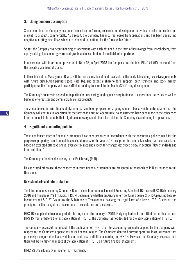# 3. Going concern assumption

Since inception, the Company has been focused on performing research and development activities in order to develop and market its products commercially. As a result, the Company has incurred losses from operations and has been generating negative operating cash flows which are expected to continue for the foreseeable future.

So far, the Company has been financing its operations with cash obtained in the form of borrowings from shareholders, from equity raising, bank loans, government grants and cash obtained from distribution partners.

In accordance with information presented in Note 15, in April 2018 the Company has obtained PLN 174,790 thousand from the private placement of shares.

In the opinion of the Management Board, with further acquisition of funds available on the market, including exclusive agreements with future distribution partners (see Note 16), and potential shareholders' support (both strategic and stock market participants), the Company will have sufficient funding to complete the MabionCD20 drug development.

The Company's success is dependent in particular on securing funding necessary to finance its operational activities as well as being able to register and commercially sell its products.

These condensed interim financial statements have been prepared on a going concern basis which contemplates that the Company will continue in operation for the foreseeable future. Accordingly, no adjustments have been made to the condensed interim financial statements that might be necessary should there be a risk of the Company discontinuing its operations.

#### 4. Significant accounting policies

These condensed interim financial statements have been prepared in accordance with the accounting policies used for the purpose of preparing recent annual financial statements for the year 2018, except for the income tax, which has been calculated based on expected effective annual average tax rate and except for changes described below in section "New standards and interpretations".

The Company's functional currency is the Polish zloty (PLN).

Unless stated otherwise, these condensed interim financial statements are presented in thousands of PLN as rounded to full thousands.

#### New standards and interpretations

The International Accounting Standards Board issued International Financial Reporting Standard 16 Leases (IFRS 16) in January 2016 and it replaces IAS 17 Leases, IFRIC 4 Determining whether an Arrangement contains a Lease, SIC-15 Operating Leases-Incentives and SIC-27 Evaluating the Substance of Transactions Involving the Legal Form of a Lease. IFRS 16 sets out the principles for the recognition, measurement, presentation and disclosure.

IFRS 16 is applicable to annual periods starting on or after January 1, 2019. Early application is permitted for entities that use IFRS 15 from or before the first application of IFRS 16. The Company has not decided for the early application of IFRS 16.

The Company assessed the impact of the application of IFRS 16 on the accounting principles applied by the Company with respect to the Company's operations or its financial results. The Company identified current operating lease agreement not previously recognized as lease which can meet lease definition according to IFRS 16. However, the Company assessed that there will be no material impact of the application of IFRS 16 on future financial statements.

IFRIC 23 Uncertainty over Income Tax Treatments.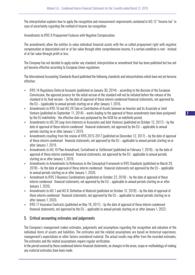The interpretation explains how to apply the recognition and measurement requirements contained in IAS 12 "Income tax" in case of uncertainty regarding the method of income tax recognition

Amendments to IFRS 9 Prepayment Features with Negative Compensation.

The amendments allow the entities to value individual financial assets with the so-called prepayment right with negative compensation at depreciated cost or at fair value through other comprehensive income, if a certain condition is met - instead of at fair value through profit or loss.

The Company has not decided to apply earlier any standard, interpretation or amendment that has been published but has not yet become effective according to European Union regulations

The International Accounting Standards Board published the following standards and interpretations which have not yet become effective:

- » IFRS 14 Regulatory Deferral Accounts (published on January 30, 2014) according to the decision of the European Commission, the approval process for the initial version of the standard will not be initiated before the release of the standard in its final version – by the date of approval of these interim condensed financial statements, not approved by the EU – (applicable to annual periods starting on or after January 1, 2016,
- » Amendments to IFRS 10 and IAS 28 Sale or Contribution of Assets between an Investor and its Associate or Joint Venture (published on September 11, 2014) – works leading to the approval of these amendments have been postponed by the EU indefinitely - the effective date was postponed by the IASB for an indefinite period,
- » Amendments to IAS 28 Long-term Interests in Associates and Joint Ventures (published on October 12, 2017) by the date of approval of these interim condensed financial statements, not approved by the EU – applicable to annual periods starting on or after January 1, 2019,
- » Amendments resulting from the review of IFRS 2015-2017 (published on December 12, 2017) by the date of approval of these interim condensed financial statements, not approved by the EU – applicable to annual periods starting on or after January 1, 2019,
- » Amendments to IAS 19 Plan Amendment, Curtailment or Settlement (published on February 7, 2018) by the date of approval of these interim condensed financial statements, not approved by the EU - applicable to annual periods starting on or after January 1, 2019,
- » Amendments to Amendments to References to the Conceptual Framework in IFRS Standards (published on March 29, 2018) – by the date of approval of these interim condensed financial statements not approved by the EU – applicable to annual periods starting on or after January 1, 2020,
- » Amendment to IFRS 3 Business Combinations (published on October 22, 2018) by the date of approval of these interim condensed financial statements, not approved by the EU – applicable to annual periods starting on or after January 1, 2020,
- » Amendments to IAS 1 and IAS 8: Definition of Material (published on October 31, 2018) by the date of approval of these interim condensed financial statements, not approved by the EU – applicable to annual periods starting on or after January 1, 2020,
- » IFRS 17 Insurance Contracts (published on May 18, 2017) by the date of approval of these interim condensed financial statements, not approved by the EU – applicable to annual periods starting on or after January 1, 2022.

# 5. Critical accounting estimates and judgements

The Company's management makes estimates, judgements and assumptions regarding the recognition and valuation of the individual items of assets and liabilities. The estimates and the related assumptions are based on historical experience, management's expectations or other factors considered material. The actual results may differ from the recorded estimates. The estimates and the related assumptions require regular verification.

In the period covered by these condensed interim financial statements, no changes in the areas, scope or methodology of making any material estimates have been made.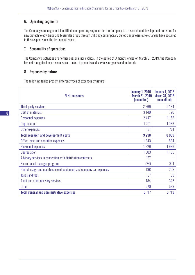# 6. Operating segments

The Company's management identified one operating segment for the Company, i.e. research and development activities for new biotechnology drugs and biosimilar drugs through utilizing contemporary genetic engineering. No changes have occurred in this respect since the last annual report.

#### 7. Seasonality of operations

The Company's activities are neither seasonal nor cyclical. In the period of 3 months ended on March 31, 2019, the Company has not recognized any revenues from sales of products and services or goods and materials.

#### 8. Expenses by nature

The following tables present different types of expenses by nature:

| <b>PLN thousands</b>                                                | <b>January 1, 2019</b><br>- March 31, 2019<br>(unaudited) | <b>January 1, 2018</b><br><b>March 31, 2018</b><br>(unaudited) |
|---------------------------------------------------------------------|-----------------------------------------------------------|----------------------------------------------------------------|
| Third-party services                                                | 2 2 6 9                                                   | 5 1 8 4                                                        |
| Cost of materials                                                   | 3 140                                                     | 720                                                            |
| Personnel expenses                                                  | 2 4 4 7                                                   | 1158                                                           |
| <b>Depreciation</b>                                                 | 1201                                                      | 1066                                                           |
| Other expenses                                                      | 181                                                       | 761                                                            |
| <b>Total research and development costs</b>                         | 9 2 38                                                    | 8889                                                           |
| Office lease and operation expenses                                 | 1343                                                      | 884                                                            |
| Personnel expenses                                                  | 1929                                                      | 1986                                                           |
| <b>Depreciation</b>                                                 | 1503                                                      | 1185                                                           |
| Advisory services in connection with distribution contracts         | 187                                                       |                                                                |
| Share-based manager program                                         | (24)                                                      | 371                                                            |
| Rental, usage and maintenance of equipment and company car expenses | 188                                                       | 202                                                            |
| <b>Taxes and fees</b>                                               | 137                                                       | 153                                                            |
| Audit and other advisory services                                   | 184                                                       | 345                                                            |
| <b>Other</b>                                                        | 270                                                       | 593                                                            |
| <b>Total general and administrative expenses</b>                    | 5717                                                      | 5719                                                           |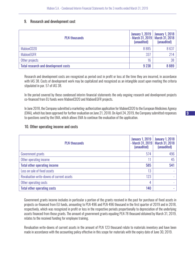#### 9. Research and development cost

| <b>PLN thousands</b>                        | <b>January 1, 2019</b><br>(unaudited) | January 1, 2018<br>- March 31, 2019   March 31, 2018  <br>(unaudited) |
|---------------------------------------------|---------------------------------------|-----------------------------------------------------------------------|
| MabionCD20                                  | 8885                                  | 8637                                                                  |
| <b>MabionEGFR</b>                           | 337                                   | 214                                                                   |
| Other projects                              | 16                                    | 38                                                                    |
| <b>Total research and development costs</b> | 9 2 38                                | 8889                                                                  |

Research and development costs are recognized as period cost in profit or loss at the time they are incurred, in accordance with IAS 38. Costs of development work may be capitalized and recognized as an intangible asset upon meeting the criteria stipulated in par. 57 of IAS 38.

In the period covered by these condensed interim financial statements the only ongoing research and development projects co-financed from EU funds were MabionCD20 and MabionEGFR projects.

In June 2018, the Company submitted a marketing-authorization application for MabionCD20 to the European Medicines Agency (EMA), which has been approved for further evaluation on June 21, 2018. On April 24, 2019, the Company submitted responses to questions send by the EMA, which allows EMA to continue the evaluation of the application.

#### 10. Other operating income and costs

| <b>PLN thousands</b>                      | <b>January 1, 2019</b><br>- March 31, 2019<br>(unaudited) | <b>January 1, 2018</b><br><b>March 31, 2018</b><br>(unaudited) |
|-------------------------------------------|-----------------------------------------------------------|----------------------------------------------------------------|
| Government grants                         | 574                                                       | 496                                                            |
| Other operating income                    |                                                           | 45                                                             |
| <b>Total other operating income</b>       | 585                                                       | 541                                                            |
| Loss on sale of fixed assets              | 13                                                        |                                                                |
| Revaluation write-downs of current assets | 123                                                       | $\overline{\phantom{0}}$                                       |
| Other operating costs                     | 4                                                         |                                                                |
| <b>Total other operating costs</b>        | 140                                                       |                                                                |

Government grants income includes in particular a portion of the grants received in the past for purchase of fixed assets in projects co-financed from EU funds, amounting to PLN 496 and PLN 496 thousand in the first quarter of 2019 and in 2018, respectively, which was recognized in profit or loss in the respective periods proportionally to depreciation of the underlying assets financed from those grants. The amount of government grants equaling PLN 78 thousand obtained by March 31, 2019, relates to the received funding for employee training.

Revaluation write-downs of current assets in the amount of PLN 123 thousand relate to materials inventory and have been made in accordance with the accounting policy effective in this scope for materials with the expiry date of June 30, 2019.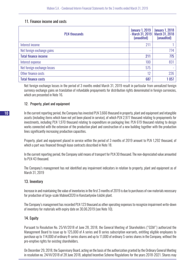#### 11. Finance income and costs

| <b>PLN thousands</b>        | <b>January 1, 2019</b><br>- March 31, 2019<br>(unaudited) | <b>January 1, 2018</b><br>March 31, 2018<br>(unaudited) |
|-----------------------------|-----------------------------------------------------------|---------------------------------------------------------|
| Interest income             | 211                                                       |                                                         |
| Net foreign exchange gains  | ٠                                                         | 774                                                     |
| <b>Total finance income</b> | 211                                                       | 775                                                     |
| Interest expense            | 100                                                       | 831                                                     |
| Net foreign exchange losses | 575                                                       |                                                         |
| Other finance costs         | 12                                                        | 226                                                     |
| <b>Total finance costs</b>  | 687                                                       | 1057                                                    |

Net foreign exchange losses in the period of 3 months ended March 31, 2019 result in particular from unrealized foreign currency exchange gains on translation of refundable prepayments for distribution rights denominated in foreign currencies, which are presented in Note 16.

#### 12. Property, plant and equipment

In the current reporting period, the Company has invested PLN 3,666 thousand in property, plant and equipment and intangible assets (including items which have not yet been placed in service), of which PLN 2,977 thousand relating to prepayments for investments, including PLN 1,970 thousand relating to expenditure on packaging line; PLN 619 thousand relating to design works connected with the extension of the production plant and construction of a new building together with the production lines significantly increasing production capacities.

Property, plant and equipment placed in service within the period of 3 months of 2019 amount to PLN 1,292 thousand, of which a part was financed through lease contracts described in Note 18.

In the current reporting period, the Company sold means of transport for PLN 30 thousand. The non-depreciated value amounted to PLN 43 thousand.

The Company's management has not identified any impairment indicators in relation to property, plant and equipment as of March 31, 2019

# 13. Inventory

Increase in and maintaining the value of inventories in the first 3 months of 2019 is due to purchases of raw materials necessary for production of large-scale MabionCD20 in Konstantynów Łódzki plant.

The Company's management has recorded PLN 123 thousand as other operating expenses to recognize impairment write-down of inventory for materials with expiry date on 30.06.2019 (see Note 10).

# 14. Equity

Pursuant to Resolution No. 25/VI/2018 of June 28, 2018, the General Meeting of Shareholders ("GSM") authorized the Management Board to issue up to 125,000 of A series and B series subscription warrants, entitling eligible employees to purchase up to 114,000 of ordinary R-series shares and up to 11,000 of ordinary S-series shares in the Company, without the pre-emptive rights for existing shareholders.

On December 29, 2018, the Supervisory Board, acting on the basis of the authorization granted by the Ordinary General Meeting in resolution no. 24/VI/2018 of 28 June 2018, adopted Incentive Scheme Regulations for the years 2018-2021. Shares may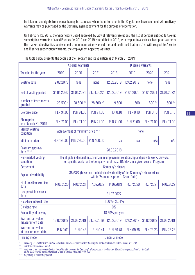be taken up and rights from warrants may be exercised when the criteria set in the Regulations have been met. Alternatively, warrants may be purchased by the Company against payment for the purpose of redemption.

On February 12, 2019, the Supervisory Board approved, by way of relevant resolutions, the list of persons entitled to take up subscription warrants of A and B series for 2018 and 2019, stated that in 2018, with respect to A series subscription warrants, the market objective (i.e. achievement of minimum price) was not met and confirmed that in 2018, with respect to A series and B series subscription warrants, the employment objective was met.

|                                            | A series warrants     |                                  |                   | <b>B</b> series warrants                                                                                                                                                       |                  |                  |                  |
|--------------------------------------------|-----------------------|----------------------------------|-------------------|--------------------------------------------------------------------------------------------------------------------------------------------------------------------------------|------------------|------------------|------------------|
| Tranche for the year                       | 2019                  | 2020                             | 2021              | 2018                                                                                                                                                                           | 2019             | 2020             | 2021             |
| <b>Vesting date</b>                        | 12.02.2019            | none                             | none              | 12.02.2019                                                                                                                                                                     | 12.02.2019       | none             | none             |
| End of vesting period                      | 31.01.2020            | 31.01.2021                       | 31.01.2022        | 12.02.2019                                                                                                                                                                     | 31.01.2020       | 31.01.2021       | 31.01.2022       |
| Number of instruments<br>granted           | 28 500 *              | 28 500 **                        | 28 500 **         | 9500                                                                                                                                                                           | 500              | $500**$          | $500**$          |
| <b>Exercise price</b>                      | <b>PLN 91.00</b>      | <b>PLN 91.00</b>                 | <b>PLN 91.00</b>  | <b>PLN 0.10</b>                                                                                                                                                                | <b>PLN 0.10</b>  | <b>PLN 0.10</b>  | <b>PLN 0.10</b>  |
| <b>Share price</b><br>as of March 31, 2019 | <b>PLN 71.00</b>      | <b>PLN 71.00</b>                 | <b>PLN 71.00</b>  | <b>PLN 71.00</b>                                                                                                                                                               | <b>PLN 71.00</b> | <b>PLN 71.00</b> | <b>PLN 71.00</b> |
| <b>Market vesting</b><br>condition         |                       | Achievement of minimum price *** |                   |                                                                                                                                                                                |                  | none             |                  |
| Minimum price                              | <b>PLN 190.00</b>     | <b>PLN 280.00</b>                | <b>PLN 400.00</b> | n/a                                                                                                                                                                            | n/a              | n/a              | n/a              |
| Program approval<br>date ****              |                       |                                  |                   | 28.06.2018                                                                                                                                                                     |                  |                  |                  |
| Non-market vesting<br>condition            |                       |                                  |                   | The eligible individual must remain in employment relationship and provide work, services<br>or specific work for the Company for at least 183 days in a given year of Program |                  |                  |                  |
| <b>Settlement</b>                          |                       |                                  |                   | Company's shares                                                                                                                                                               |                  |                  |                  |
| <b>Expected variability</b>                |                       |                                  |                   | 35,63% (based on the historical variability of the Company's share prices<br>within 24 months prior to Grant Date)                                                             |                  |                  |                  |
| First possible exercise<br>date            | 14.02.2020            | 14.02.2021                       | 14.02.2022        | 14.07.2019                                                                                                                                                                     | 14.07.2020       | 14.07.2021       | 14.07.2022       |
| Last possible exercise<br>date             |                       |                                  |                   | 31.07.2022                                                                                                                                                                     |                  |                  |                  |
| Risk-free interest rate                    |                       |                                  |                   | $1.50\% - 2.04\%$                                                                                                                                                              |                  |                  |                  |
| Dividend rate                              |                       |                                  |                   | $0\%$                                                                                                                                                                          |                  |                  |                  |
| Probability of leaving                     |                       |                                  |                   | 18.59% per year                                                                                                                                                                |                  |                  |                  |
| Warrant fair value<br>measurement date     | 12.02.2019            | 31.03.2019                       | 31.03.2019        | 12.02.2019                                                                                                                                                                     | 12.02.2019       | 31.03.2019       | 31.03.2019       |
| Warrant fair value<br>at measurement date  | <b>PLN 0.07</b>       | <b>PLN 0.43</b>                  | <b>PLN 0.41</b>   | <b>PLN 69.78</b>                                                                                                                                                               | <b>PLN 69.78</b> | <b>PLN 73.23</b> | <b>PLN 73.23</b> |
| <b>Pricing model</b>                       | <b>Binomial model</b> |                                  |                   |                                                                                                                                                                                |                  |                  |                  |

The table below presents the details of the Program and its valuation as of March 31, 2019:

*\* including 23 300 for listed entitled individuals as well as reserve without listing the entitled individuals in the amount of 5 200*

*\*\* entitled individuals not listed*

\*\*\* minimum price has been defined as the arithmetic mean of the Company's share prices at the Warsaw Stock Exchange calculated on the basis<br>of the daily volume-weighted average prices in the last month of every year

*\*\*\*\* Beginning of the vesting period*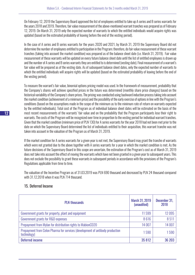On February 12, 2019 the Supervisory Board approved the list of employees entitled to take up A series and B series warrants for the years 2018 and 2019. Therefore, fair value measurement of the above-mentioned warrant tranches was prepared as of February 12, 2019. On March 31, 2019 only the expected number of warrants to which the entitled individuals would acquire rights was updated (based on the estimated probability of leaving before the end of the vesting period).

In the case of A series and B series warrants for the years 2020 and 2021, by March 31, 2019 the Supervisory Board did not determine the number of employees entitled to participation in the Program; therefore, do fair value measurement of these warrant tranches (taking into account the market condition) was prepared as of the balance sheet date (i.e. March 31, 2019). Fair value measurement of these warrants will be updated on every future balance sheet date until the list of entitled employees is drawn up and the number of A series and B series warrants they are entitled to is determined (vesting date). Final measurement of a warrant's fair value will be prepared as of the vesting date. As of subsequent balance sheet dates, only the expected number of warrants to which the entitled individuals will acquire rights will be updated (based on the estimated probability of leaving before the end of the vesting period).

To measure the warrant's fair value, binomial options pricing model was used. In the framework of measurement, probability that the Company's shares will achieve specified prices in the future was determined (monthly share price changes) based on the historical variability of the Company's share prices. The pricing was conducted using backward induction process taking into account the market condition (achievement of a minimum price) and the possibility of the early exercise of options in line with the Program's conditions (based on the assumptions made in the scope of the minimum as to the minimum rate of return on warrants expected by the entitled individuals). Total cost of the Program as of individual balance sheet dates will be estimated on the basis of the most recent measurements of the warrants' fair value and on the probability that the Program participants lose their right to warrants. The costs of the Program will be recognized over time in proportion to the vesting period for individual warrant tranches. Given that the market condition (minimum price of PLN 130) for A series warrants for the year 2018 had not been met prior to the date on which the Supervisory Board determined the list of individuals entitled to their acquisition, this warrant tranche was not taken into account in the valuation of the Program as of March 31, 2019.

If the market condition for A series warrants for a given year is not met, the Supervisory Board may grant the tranche of warrants which were not granted due to the above together with A series warrants for a year in which the market condition is met. As the future decisions of the Supervisory Board in this scope are uncertain, the estimation of the Program's cost as of March 31, 2019 does not take into account the effect of moving the warrants which have not been granted in a given year to subsequent years. This does not exclude the possibility to grant these warrants in subsequent periods in accordance with the provisions of the Program's Regulations applicable from time to time.

The valuation of the Incentive Program as of 31.03.2019 was PLN 690 thousand and decreased by PLN 24 thousand compared with 31.12.2018 when it was PLN 714 thousand.

| <b>PLN thousands</b>                                                                         | <b>March 31, 2019</b><br>(unaudited) | December 31,<br>2018 |
|----------------------------------------------------------------------------------------------|--------------------------------------|----------------------|
| Government grants for property, plant and equipment                                          | 11599                                | 12095                |
| Government grants for R&D expenses                                                           | 8616                                 | 8511                 |
| Prepayment from Mylan for distribution rights to MabionCD20                                  | 14 007                               | 14 007               |
| Prepayment from Celon Pharma for services (development of antibody production<br>technology) | 1590                                 | 1590                 |
| <b>Deferred income</b>                                                                       | 35812                                | 36 203               |

# 15. Deferred Income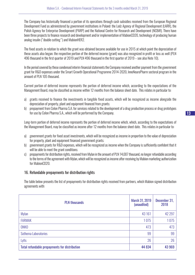The Company has historically financed a portion of its operations through cash subsidies received from the European Regional Development Fund as administered by government institutions in Poland: the Lodz Agency of Regional Development (ŁARR), the Polish Agency for Enterprise Development (PARP) and the National Centre for Research and Development (NCBiR). There have been three projects to finance research and development and/or implementation of MabionCD20, technology of producing human analog insulin ("double cutting") and MabionHER2.

The fixed assets in relation to which the grant was obtained became available for use in 2015 at which point the depreciation of these assets also began; the respective portion of the deferred income (grant) was also recognized in profit or loss as well (PLN 496 thousand in the first quarter of 2019 and PLN 496 thousand in the first quarter of 2019 – see also Note 10).

In the period covered by these condensed interim financial statements the Company received another payment from the government grant for R&D expenses under the Smart Growth Operational Programme 2014-2020, InnoNeuroPharm sectoral program in the amount of PLN 105 thousand.

Current portion of deferred income represents the portion of deferred income which, according to the expectations of the Management Board, may be classified as income within 12 months from the balance sheet date. This relates in particular to:

- a) grants received to finance the investments in tangible fixed assets, which will be recognized as income alongside the depreciation of property, plant and equipment financed from grants;
- b) prepayment from Celon Pharma S.A. for services related to the development of a drug production process or drug prototypes for use by Celon Pharma S.A., which will be performed by the Company.

Long-term portion of deferred income represents the portion of deferred income which, which, according to the expectations of the Management Board, may be classified as income after 12 months from the balance sheet date. This relates in particular to:

- a) government grants for fixed asset investments, which will be recognized as income in proportion to the value of depreciation for property, plant and equipment financed government grants;
- b) government grants for R&D expenses, which will be recognized as income when the Company is sufficiently confident that it will be able to meet the grant conditions;
- c) prepayments for distribution rights, received from Mylan in the amount of PLN 14,007 thousand, no longer refundable according to the terms of the agreement with Mylan, which will be recognized as income after receiving by Mabion marketing authorization for MabionCD20.

# 16. Refundable prepayments for distribution rights

The table below presents the list of prepayments for distribution rights received from partners, which Mabion signed distribution agreements with:

| <b>PLN thousands</b>                                 | <b>March 31, 2019</b><br>(unaudited) | December 31,<br>2018 |
|------------------------------------------------------|--------------------------------------|----------------------|
| Mylan                                                | 43 161                               | 42 297               |
| <b>FARMAK</b>                                        | 1075                                 | 1075                 |
| <b>ONKO</b>                                          | 473                                  | 473                  |
| Sothema Laboratories                                 | 99                                   | 99                   |
| Lyfis                                                | 26                                   | 26                   |
| <b>Total refundable prepayments for distribution</b> | 44 834                               | 43 969               |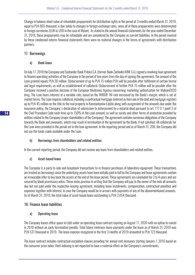Change in balance sheet value of refundable prepayments for distribution rights in the period of 3 months ended March 31, 2019, equal to PLN 865 thousand, is due solely to changes in foreign exchange rates, since all of these prepayments were denominated in foreign currencies (EUR or USD in the case of Mylan). As stated in the annual financial statements for the year ended December 31, 2018, these prepayments may be refundable and are considered by the Company as current liabilities. In the period covered by these condensed interim financial statements there were no material changes in the terms of agreements with distribution partners.

# 17. Borrowings

#### a) Bank loans

On July 17, 2018 the Company and Santander Bank Polska S.A. (former Bank Zachodni WBK S.A.) signed a revolving loan agreement to finance operating activities of the Company in the period of two years from the day of signing the agreement. The amount of the Loan granted equals PLN 30 million. Disbursement of up to PLN 15 million PLN will be possible after fulfilment of certain formal and legal requirements, as well as establishment of collateral. Disbursement of further PLN 15 million will be possible after the Company received a positive decision of the European Medicines Agency concerning marketing authorization for MabionCD20 drug. The Loan bears interest at a variable rate, based on the WIBOR 1M rate increased by the Bank's margin, which is set at market terms. The Loan requires collateral, including a contractual mortgage (entered as item one in the land and mortgage register) up to PLN 45 million on the title to the real property in Konstantynów Łódzki along with assignment of the amounts due under the insurance policy, the Company's declaration of submission to enforcement by a notarial deed pursuant to art. 777 § 1 point 5 of the Civil Procedure Code each time up to 150% of the Loan amount, as well as surety and other forms of protection provided by entities related to the Company (major shareholders of the Company). The agreement contains numerous obligations of the Company towards the Bank and covenants, which may result in termination of the agreement by the Bank, if not satisfied. All collaterals for the Loan were provided in the period set in the loan agreement. In the reporting period and as of March 31, 209, the Company did not use the funds made available under the Loan.

# b) Borrowings from shareholders and related entities

In the current reporting period, the Company did not receive any loans from shareholders and related entities.

# c) Asset-based loans

The Company is a party to sale-and-leaseback transactions to re-finance purchases of laboratory equipment. These transactions are treated as borrowings since the underlying assets have been initially paid in full by the Company and lease agreements contain an irrevocable offer to buy back the assets at the end of the lease period. These agreements are concluded for 3 to 4 years and are secured by blank promissory notes. These notes promise in writing that the Company will pay to the owner of the note all amounts due but not paid under the respective leasing agreement, including lease instalments, compensation, contractual penalties and expenses together with interest, in case the Company would be in arrears with payments of any of the abovementioned amounts. As of March 31, 2019, the total value of asset-based loans outstanding is PLN 2,054 thousand.

# 18. Finance lease liabilities

# a) Operating lease

The Company leases office space in Łódź under an operating lease contract expiring on August 17, 2020 with an option to cancel in 2018 without an early termination penalty. Total future minimum lease payments under the lease as of March 31, 2019 was PLN 537 thousand in 2019. The lease expense recognized in the first 3 months of 2019 amounted to PLN 123 thousand.

The lease contract includes contractual escalation clauses providing for annual rent increases starting January 1, 2016 based on the consumer price index. Rent indexing is not expected to have a material effect on the Company's commitments.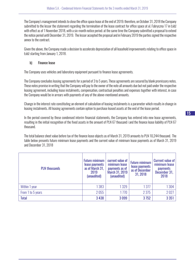The Company's management intends to close the office space lease at the end of 2019; therefore, on October 31, 2018 the Company submitted to the lessor the statement regarding the termination of the lease contract for office space at ul. Fabryczna 17 in Łódź with effect as of 1 November 2018, with a six-month notice period; at the same time the Company submitted a proposal to extend the notice period until December 31, 2019. The lessor accepted the proposal and in February 2019 the parties signed the respective annex to the contract.

Given the above, the Company made a decision to accelerate depreciation of all leasehold improvements relating to office space in Łódź starting from January 1, 2018.

#### b) Finance lease

The Company uses vehicles and laboratory equipment pursuant to finance lease agreements.

The Company concludes leasing agreements for a period of 3 to 5 years. These agreements are secured by blank promissory notes. These notes promise in writing that the Company will pay to the owner of the note all amounts due but not paid under the respective leasing agreement, including lease instalments, compensation, contractual penalties and expenses together with interest, in case the Company would be in arrears with payments of any of the above-mentioned amounts.

Change in the interest rate constituting an element of calculation of leasing instalments is a parameter which results in change in leasing instalments. All leasing agreements contain option to purchase leased assets at the end of the lease period.

In the period covered by these condensed interim financial statements, the Company has entered into new lease agreements, resulting in the initial recognition of the fixed assets in the amount of PLN 67 thousand i and the finance lease liability of PLN 67 thousand.

The total balance sheet value before tax of the finance lease objects as of March 31, 2019 amounts to PLN 10,244 thousand. The table below presents future minimum lease payments and the current value of minimum lease payments as of March 31, 2019 and December 31, 2018

| <b>PLN thousands</b> | <b>Future minimum</b><br>lease payments<br>as of March 31,<br>2019<br>(unaudited) | current value of<br>minimum lease<br>payments as of<br><b>March 31, 2019</b><br>(unaudited) | <b>Future minimum</b><br>lease payments<br>as of December<br>31, 2018 | <b>Current value of</b><br>minimum lease<br><b>payments</b><br>December 31,<br>2018 |
|----------------------|-----------------------------------------------------------------------------------|---------------------------------------------------------------------------------------------|-----------------------------------------------------------------------|-------------------------------------------------------------------------------------|
| Within 1 year        | 1383                                                                              | 1 3 2 9                                                                                     | 1 3 7 7                                                               | 1304                                                                                |
| From 1 to 5 years    | 2055                                                                              | 1770                                                                                        | 2 3 7 5                                                               | 2027                                                                                |
| <b>Total</b>         | 3 4 3 8                                                                           | 3099                                                                                        | 3752                                                                  | 3 3 5 1                                                                             |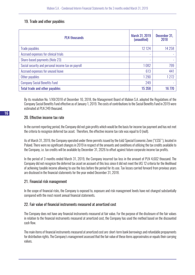# 19. Trade and other payables

| <b>PLN thousands</b>                               | March 31, 2019<br>(unaudited) | December 31,<br>2018 |
|----------------------------------------------------|-------------------------------|----------------------|
| Trade payables                                     | 12 1 24                       | 14 2 58              |
| Accrued expenses for clinical trials               |                               |                      |
| Share-based payments (Note 23)                     |                               |                      |
| Social security and personal income tax on payroll | 1082                          | 799                  |
| Accrued expenses for unused leave                  | 613                           | 441                  |
| Other payables                                     | 1290                          | 1272                 |
| <b>Company Social Benefits Fund</b>                | 249                           |                      |
| <b>Total trade and other payables</b>              | 15 358                        | 16 770               |

By its resolution No. 1/XII/2018 of December 10, 2018, the Management Board of Mabion S.A. adopted the Regulations of the Company Social Benefits Fund effective as of January 1, 2019. The costs of contributions to the Social Benefits Fund in 2019 were estimated at PLN 249 thousand.

#### 20. Effective income tax rate

In the current reporting period, the Company did not gain profits which would be the basis for income tax payment and has not met the criteria to recognize deferred tax asset. Therefore, the effective income tax rate was equal to 0 (null).

As of March 31, 2019, the Company operated under three permits issued by the Łódź Special Economic Zone ("ŁSSE"), located in Poland. There were no significant changes in 2019 in respect of the amounts and conditions of utilizing the tax credits available to the Company, i.e. tax credits will be available by December 31, 2026 to offset against future corporate income tax profits.

In the period of 3 months ended March 31, 2019, the Company incurred tax loss in the amount of PLN 4,602 thousand. The Company did not recognize the deferred tax asset on account of this loss since it did not meet the IAS 12 criteria for the likelihood of achieving taxable income allowing to use the loss before the period for its use. Tax losses carried forward from previous years are disclosed in the financial statements for the year ended December 31, 2018.

# 21. Financial risk management

In the scope of financial risks, the Company is exposed to, exposure and risk management levels have not changed substantially compared with the most recent annual financial statements.

# 22. Fair value of financial instruments measured at amortized cost

The Company does not have any financial instruments measured at fair value. For the purpose of the disclosure of the fair values in relation to the financial instruments measured at amortized cost, the Company has used the method based on the discounted cash flow.

The main items of financial instruments measured at amortized cost are: short-term bank borrowings and refundable prepayments for distribution rights. The Company's management assessed that the fair value of these items approximates or equals their carrying values.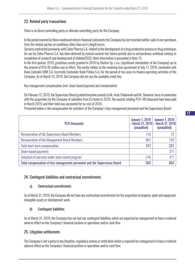# 23. Related party transactions

There is no direct controlling party or ultimate controlling party for the Company.

In the period covered by these condensed interim financial statements the Company has not recorded neither sales to nor purchases from the related parties on conditions other than arm's length terms.

Services contracted previously with Celon Pharma S.A. related to the development of a drug production process or drug prototypes for use by Celon Pharma S.A. has been deferred by mutual consent into future periods due to extraordinary workload relating to completion of research and development of MabionCD20. More information is presented in Note 15.

In the first quarter 2019, gratuitous surety granted in 2018 by Glatton Sp. z o.o. (significant shareholder of the Company) up to the amount of PLN 45 million was in effect. The surety relates to the revolving loan agreement of July 17, 2018, concluded with Bank Zachodni WBK S.A. (currently Santander Bank Polska S.A.) for the period of two years to finance operating activities of the Company. As of March 31, 2019, the Company did not use the available credit line.

Key management compensation (incl. share-based payment and remuneration)

On February 12, 2019, the Supervisory Board granted incentive awards to Mr. Artur Chabowski and Mr. Sławomir Jaros in connection with the acquisition by the Company of subsidies from EU funds in 2018. The awards totaling PLN 140 thousand have been paid in March 2019, and their total was accounted for as cost of 2018.

Presented below is the compensation for members of the Company's key management personnel and the Supervisory Board:

| <b>PLN thousands</b>                                                     | <b>January 1, 2019</b><br>- March 31, 2019 - March 31, 2018<br>(unaudited) | <b>January 1, 2018</b><br>(unaudited) |
|--------------------------------------------------------------------------|----------------------------------------------------------------------------|---------------------------------------|
| <b>Remuneration of the Supervisory Board Members</b>                     | 116                                                                        | 72                                    |
| <b>Remuneration of the Management Board Members</b>                      | 401                                                                        | 159                                   |
| <b>Total short-term compensation</b>                                     | 517                                                                        | 231                                   |
| Share-based payments                                                     | ٠                                                                          | 371                                   |
| Valuation of warrants under share-based program                          | (14)                                                                       | 371                                   |
| Total compensation of key management personnel and the Supervisory Board | 503                                                                        | 602                                   |

#### 24. Contingent liabilities and contractual commitments

#### a) Contractual commitments

As of March 31, 2019, the Company did not have any contractual commitments for the acquisition of property, plant and equipment, intangible assets or development work.

#### b) Contingent liabilities

As of March 31, 2019, the Company has not had any contingent liabilities which are expected by management to have a material adverse effect on the Company's financial position or operations and/or cash flow.

#### 25. Litigation settlements

The Company is not a party to any litigation, regulatory actions or arbitration which is expected by management to have a material adverse effect on the Company's financial position or operations and/or cash flow.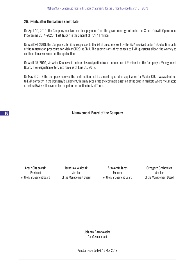#### 26. Events after the balance sheet date

On April 10, 2019, the Company received another payment from the government grant under the Smart Growth Operational Programme 2014-2020, "Fast Track" in the amount of PLN 7.1 million.

On April 24, 2019, the Company submitted responses to the list of questions sent by the EMA received under 120-day timetable of the registration procedure for MabionCD20 at EMA. The submissions of responses to EMA questions allows the Agency to continue the assessment of the application.

On April 25, 2019, Mr. Artur Chabowski tendered his resignation from the function of President of the Company's Management Board. The resignation enters into force as of June 30, 2019.

On May 6, 2019 the Company received the confirmation that its second registration application for Mabion CD20 was submitted to EMA correctly. In the Company's judgment, this may accelerate the commercialization of the drug in markets where rheumatoid arthritis (RA) is still covered by the patent protection for MabThera.

Management Board of the Company

Artur Chabowski President of the Management Board

Jarosław Walczak Member of the Management Board

Sławomir Jaros Member of the Management Board

Grzegorz Grabowicz Member of the Management Board

Jolanta Baranowska Chief Accountant

Konstantynów Łódzki, 16 May 2019